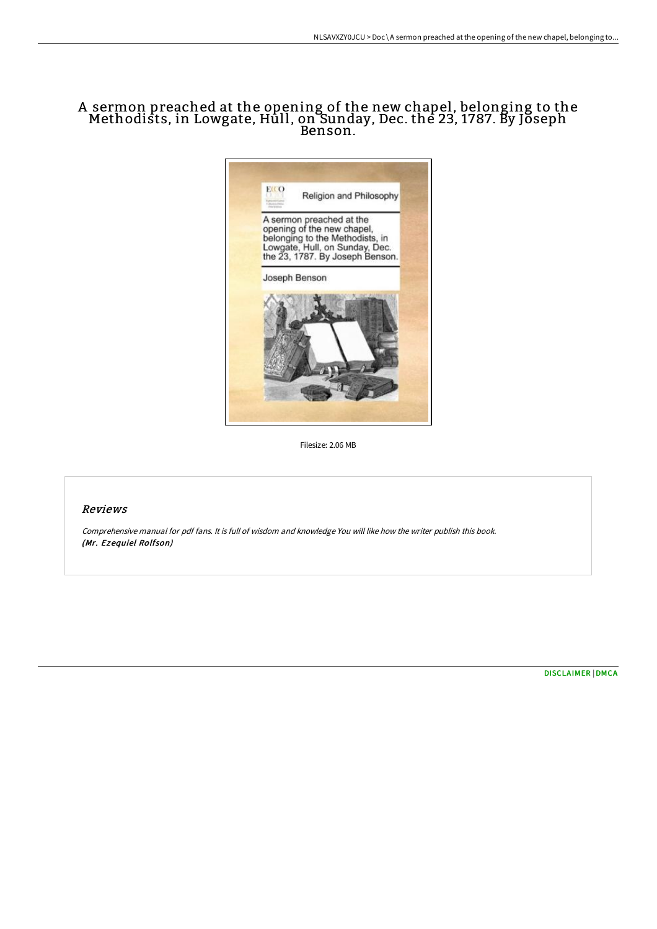# A sermon preached at the opening of the new chapel, belonging to the Methodists, in Lowgate, Hull, on Sunday, Dec. the 23, 1787. By Joseph Benson.



Filesize: 2.06 MB

### Reviews

Comprehensive manual for pdf fans. It is full of wisdom and knowledge You will like how the writer publish this book. (Mr. Ezequiel Rolfson)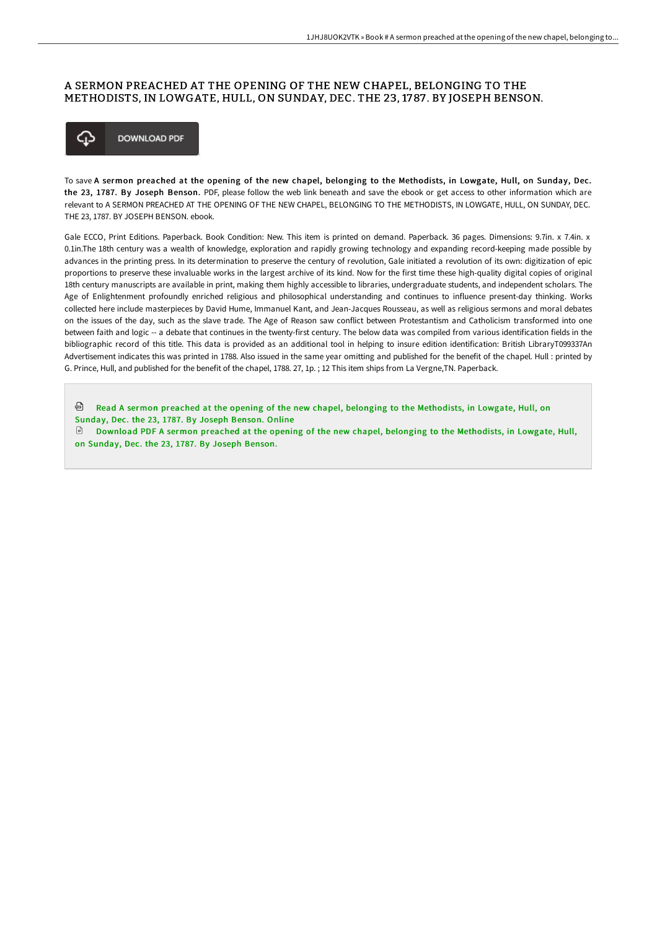## A SERMON PREACHED AT THE OPENING OF THE NEW CHAPEL, BELONGING TO THE METHODISTS, IN LOWGATE, HULL, ON SUNDAY, DEC. THE 23, 1787 . BY JOSEPH BENSON.



To save A sermon preached at the opening of the new chapel, belonging to the Methodists, in Lowgate, Hull, on Sunday, Dec. the 23, 1787. By Joseph Benson. PDF, please follow the web link beneath and save the ebook or get access to other information which are relevant to A SERMON PREACHED AT THE OPENING OF THE NEW CHAPEL, BELONGING TO THE METHODISTS, IN LOWGATE, HULL, ON SUNDAY, DEC. THE 23, 1787. BY JOSEPH BENSON. ebook.

Gale ECCO, Print Editions. Paperback. Book Condition: New. This item is printed on demand. Paperback. 36 pages. Dimensions: 9.7in. x 7.4in. x 0.1in.The 18th century was a wealth of knowledge, exploration and rapidly growing technology and expanding record-keeping made possible by advances in the printing press. In its determination to preserve the century of revolution, Gale initiated a revolution of its own: digitization of epic proportions to preserve these invaluable works in the largest archive of its kind. Now for the first time these high-quality digital copies of original 18th century manuscripts are available in print, making them highly accessible to libraries, undergraduate students, and independent scholars. The Age of Enlightenment profoundly enriched religious and philosophical understanding and continues to influence present-day thinking. Works collected here include masterpieces by David Hume, Immanuel Kant, and Jean-Jacques Rousseau, as well as religious sermons and moral debates on the issues of the day, such as the slave trade. The Age of Reason saw conflict between Protestantism and Catholicism transformed into one between faith and logic -- a debate that continues in the twenty-first century. The below data was compiled from various identification fields in the bibliographic record of this title. This data is provided as an additional tool in helping to insure edition identification: British LibraryT099337An Advertisement indicates this was printed in 1788. Also issued in the same year omitting and published for the benefit of the chapel. Hull : printed by G. Prince, Hull, and published for the benefit of the chapel, 1788. 27, 1p. ; 12 This item ships from La Vergne,TN. Paperback.

剾 Read A sermon preached at the opening of the new chapel, belonging to the [Methodists,](http://bookera.tech/a-sermon-preached-at-the-opening-of-the-new-chap-1.html) in Lowgate, Hull, on Sunday, Dec. the 23, 1787. By Joseph Benson. Online

 $\Box$  Download PDF A sermon preached at the opening of the new chapel, belonging to the [Methodists,](http://bookera.tech/a-sermon-preached-at-the-opening-of-the-new-chap-1.html) in Lowgate, Hull, on Sunday, Dec. the 23, 1787. By Joseph Benson.